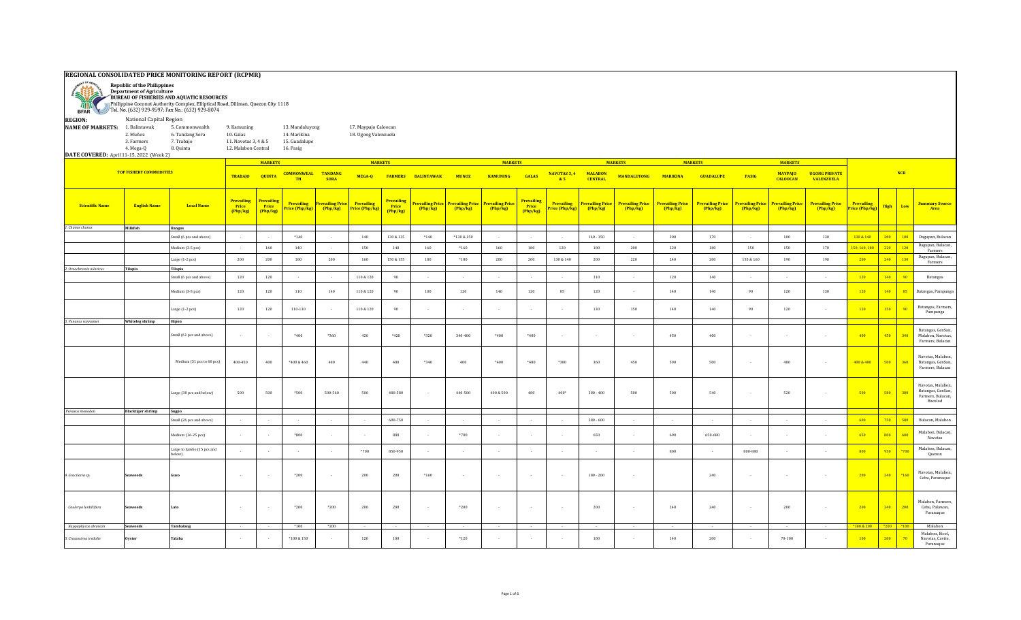## **REGIONAL CONSOLIDATED PRICE MONITORING REPORT (RCPMR)**



Department of Agriculture BUREAU OF FISHERIES AND AQUATIC RESOURCES Philippine Coconut Authority Complex, Elliptical Road, Diliman, Quezon City 1118

Tel. No. (632) 929-9597; Fax No.: (632) 929-8074 **BFAR REGION:** National Capital Region **NAME OF MARKETS:** 1. Balintawak 5. Commonwealth 9. Kamuning 13. Mandaluyong 17. Maypajo Caloocan<br>2. Muñoz 6. Tandang Sora 10. Galas 14. Marikina 18. Ugong Valenzuela 18. Ugong Valenzuela 3. Farmers 7. Trabajo 11. Navotas 3, 4 & 5 15. Guadalupe 4. Mega-Q 8. Quinta 12. Malabon Central 16. Pasig **DATE COVERED:** April 11-15, 2022 (Week 2) **MARKETS MARKETS MARKETS MARKETS MARKETS MARKETS TOP FISHERY COMMODITIES NAVOTAS 3, 4 MALABON**<br>**CENTRAL CENTRAL MANDALUYONG MARIKINA GUADALUPE PASIG MAYPAJO UGONG PRIVATE TRABAJO QUINTA COMMONWEAL MUNOZ TANDANG SORA MEGA-Q FARMERS BALINTAWAK GALAS KAMUNING TH & 5 CALOOCAN VALENZUELA Prevailing Prevailing Prevailing Prevailing Prevailing Prevailing Price Prevailing Prevailing Price Prevailing Price Prevailing Price Prevailing Prevailing Price Prevailing Price Prevailing Price Prevailing Price Prevailing Price Prevailing Price Prevailing Price Price (Php/kg) High Low Summary Source Prevailing Scientific Name English Name Local Name Price Price Price Price Price (Php/kg) Price (Php/kg) (Php/kg) (Php/kg) (Php/kg) (Php/kg) Price (Php/kg) (Php/kg) (Php/kg) (Php/kg) (Php/kg) (Php/kg) (Php/kg) (Php/kg) (Php/kg) (Php/kg) (Php/kg) (Php/kg)** *1. Chanos chanos* **Milkfish Bangus** Small (6 pcs and above) | - | \*140 | - | 140 | 130 & 135 | \*140 | \*130 & 150 | - | - | 140 - 150 | - | 200 | 170 | - | 100 | 130 <mark>& 140 | 200 | 100</mark> Dagupan, Bulacan Medium (3-5 pcs) - | 160 | 140 | - | 150 | 140 | 160 | 160 | 160 | 180 | 120 | 180 | 200 | 200 | 150 | 150 | 150 | 170 | 150, 160, 180 | 220 | 120 | Dagupan, Bulacan, Large (1-2 pcs) 200 180 200 180 160 150& 155 180 \*180 200 200 130& 140 200 220 240 155 200 155 & 160 190 190 200 240 130 <sup>Dagupan, Bulacan,</sup> *2. Oreochromis niloticus* **Tilapia Tilapia** Small (6 pcs and above) 120 120 - - 110 & 120 90 - - - - - 110 - 120 140 - - - 120 140 90 Batangas Medium(3-5 pcs) | 120 | 120 | 110 | 140 | 110&120 | 90 | 100 | 120 | 140 | 120 | 120 | 140 | 140 | 140 | 140 | 120 | 140 | 120 | 140 | 85 |Batangas, Pampanga Large (1-2 pcs) <sup>120</sup> <sup>120</sup> 110-130 - 110 & 120 <sup>90</sup> - - - - - <sup>130</sup> <sup>150</sup> <sup>140</sup> <sup>140</sup> <sup>90</sup> <sup>120</sup> - <sup>120</sup> <sup>150</sup> <sup>90</sup> Batangas, Farmers, *3. Penaeus vannamei* **Whiteleg shrimp Hipon** Small (61 pcs and above) - - \*400 \*360 420 \*420 \*320 340-400 \*400 \*400 - - - 450 400 - - - 400 450 340 Medium (31 pcs to 60 pcs) | 400-450 | 400 & 460 | 460 | 480 | \*340 | \*400 | \*400 | \*400 | \*380 | 360 | 500 | 500 | - | 480 | - | <mark>400 & 480 | 500 | 360</mark> Large (30 pcs and below) | 500 | 500 | \*500 | 500-560 | 500 | 480-580 | - | 440-500 | 400& 500 | 480 | 480 | 400\* | 380-400 | 500 | 500 | 500 | 500 | 580 | 580 | 380 | 380 | 380 | 380 | 380 | 380 | 580 | 500 | 500 | 500 |  $P$ *enaeus* 

|                         |                          |                            |                          |        |            |                   |                          |                          |                          |                          |                                   |                |                     |                          |                                   |                          |                          |                          |                     |                                   |            |                                                                          | ганистэ, вшасан,<br>Bacolod                      |
|-------------------------|--------------------------|----------------------------|--------------------------|--------|------------|-------------------|--------------------------|--------------------------|--------------------------|--------------------------|-----------------------------------|----------------|---------------------|--------------------------|-----------------------------------|--------------------------|--------------------------|--------------------------|---------------------|-----------------------------------|------------|--------------------------------------------------------------------------|--------------------------------------------------|
| Penaeus monodon         | <b>Blacktiger shrimp</b> | Sugpo                      |                          |        |            |                   |                          |                          |                          |                          |                                   |                |                     |                          |                                   |                          |                          |                          |                     |                                   |            |                                                                          |                                                  |
|                         |                          | Small (26 pcs and above)   |                          |        |            |                   |                          | 600-750                  |                          | $\sim$                   | $\sim$                            | $\sim$         |                     | $580 - 600$              |                                   | $\sim$                   | $\sim$                   |                          |                     |                                   | 600        | 750 580                                                                  | Bulacan, Malabon                                 |
|                         |                          | Medium (16-25 pcs)         | $\sim$                   |        | $*800$     | $\sim$            | $\sim$                   | 800                      | $\sim$                   | *700                     | $\sim$                            | $\sim$         | $\sim$              | 650                      |                                   | 600                      | 650-680                  | $\sim$                   | $\sim$              | $\sim$                            | $-650$     | 800 600                                                                  | Malabon, Bulacan,<br>Navotas                     |
|                         |                          | Large to Jumbo (15 pcs and | $\sim$                   |        | . .        | $\sim$            | $*700$                   | 850-950                  | $\sim$                   | $\sim$                   | $\sim$                            | $\sim$         | . .                 | $\sim$                   |                                   | 800                      | $\sim$                   | 800-880                  |                     | $\sim$                            | 800        | $950$ $*700$                                                             | Malabon, Bulacan,<br>Quezon                      |
| 4. Gracilaria sp.       | <b>Seaweeds</b>          | Guso                       | $\sim$                   | $\sim$ | *200       | $\sim$ 100 $\sim$ | 200                      | 200                      | $*160$                   | $\sim$                   | $\sim$                            | $\sim$         | $\sim$              | $180 - 200$              |                                   |                          | 240                      | $\sim$                   | $\sim$              | $\sim$                            | $-200$     | $240$ *160                                                               | Navotas, Malabon,<br>Cebu, Paranaque             |
| Caulerpa lentillifera   | <b>Seaweeds</b>          | Lato                       | <b>Contract Contract</b> |        | $*200$     | $*200$            | 200                      | 200                      | $\sim$                   | $*200$                   | $\sim$                            | $\sim$         | $\sim$              | 200                      |                                   | 240                      | 240                      | $\sim$                   | 200                 | <b>Service</b>                    | 200        | 240 200                                                                  | Malabon, Farmers,<br>Cebu, Palawan,<br>Paranaque |
| Kappaphycus alvarezii   | <b>Seaweeds</b>          | Tambalang                  | <b>Contract Contract</b> | $\sim$ | $*100$     | $*200$            | <b>Contract Contract</b> | <b>Contract Contract</b> | <b>Contract Contract</b> | <b>Contract Contract</b> | <b>Contract Contract Contract</b> | $\sim$         | <b>State Street</b> | <b>Contract Contract</b> | <b>Contract Contract Contract</b> | <b>Contract Contract</b> | <b>Contract Contract</b> | <b>Contract Contract</b> | <b>State Street</b> | <b>Contract Contract Contract</b> | *100 & 200 | $*200$ $*100$                                                            | Malabon                                          |
| 5. Crassostrea iredalie | Oyster                   | Talaba                     | <b>STATE</b>             |        | *100 & 150 |                   | 120                      | 100                      |                          | $*120$                   |                                   | $\overline{a}$ |                     | 100                      |                                   | 140                      | 200                      |                          | 70-100              |                                   | 100        | $\begin{array}{ c c c c c } \hline 200 & \text{70} \ \hline \end{array}$ | Malabon, Bicol,<br>Navotas, Cavite,              |

Farmers

**Area**

**NCR**

Farmers

Pampanga

Batangas, GenSan, Malabon, Navotas, Farmers, Bulacan

Navotas, Malabon, Batangas, GenSan, Farmers, Bulacan

Navotas, Malabon, Batangas, GenSan, Farmers, Bulacan,

Paranaque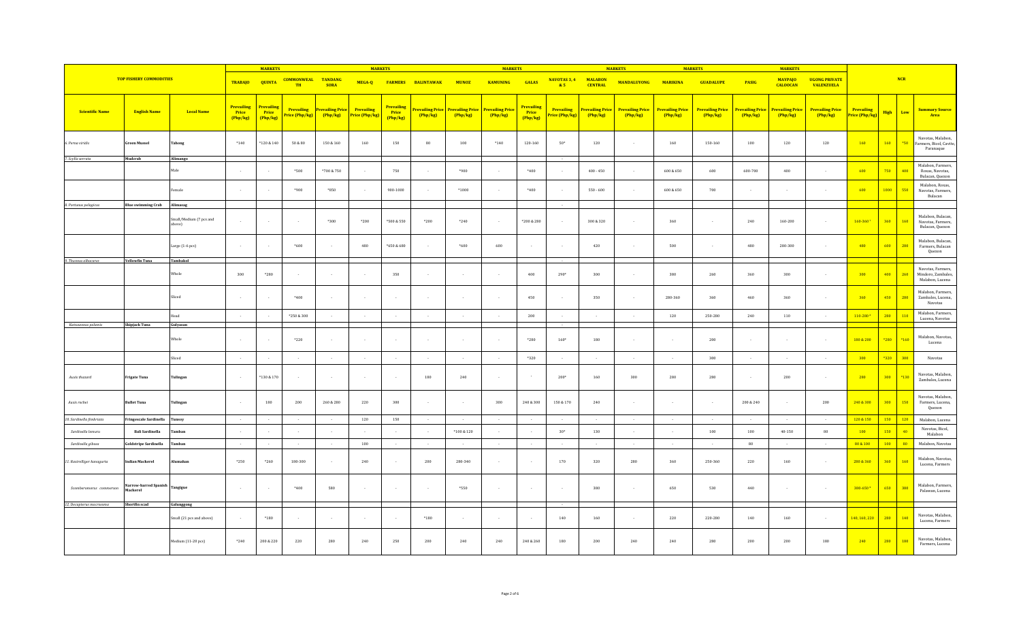|                            |                                  |                                   |                                      | <b>MARKETS</b>                                      |                                     |                                   | <b>MARKETS</b>               |                                             |                                     |                                   | <b>MARKETS</b>                    |                                      |                                    |                                  | <b>MARKETS</b>                    |                                   | <b>MARKETS</b>                    |                                   | <b>MARKETS</b>                    |                                           |                                     |                         |                                                            |
|----------------------------|----------------------------------|-----------------------------------|--------------------------------------|-----------------------------------------------------|-------------------------------------|-----------------------------------|------------------------------|---------------------------------------------|-------------------------------------|-----------------------------------|-----------------------------------|--------------------------------------|------------------------------------|----------------------------------|-----------------------------------|-----------------------------------|-----------------------------------|-----------------------------------|-----------------------------------|-------------------------------------------|-------------------------------------|-------------------------|------------------------------------------------------------|
|                            | <b>TOP FISHERY COMMODITIES</b>   |                                   | <b>TRABAJO</b>                       | <b>QUINTA</b>                                       | <b>COMMONWEAL</b><br>TH             | <b>TANDANG</b><br><b>SORA</b>     | MEGA-Q                       |                                             | <b>FARMERS BALINTAWAK</b>           | <b>MUNOZ</b>                      | <b>KAMUNING</b>                   | <b>GALAS</b>                         | NAVOTAS 3, 4<br>85                 | <b>MALABON</b><br><b>CENTRAL</b> | <b>MANDALUYONG</b>                | <b>MARIKINA</b>                   | <b>GUADALUPE</b>                  | <b>PASIG</b>                      | <b>MAYPAJO</b><br><b>CALOOCAN</b> | <b>UGONG PRIVATE</b><br><b>VALENZUELA</b> |                                     | <b>NCR</b>              |                                                            |
| <b>Scientific Name</b>     | <b>English Name</b>              | <b>Local Name</b>                 | <b>Prevailing</b><br>Price<br>Php/kg | <mark>Prevailing</mark><br><b>Price</b><br>(Php/kg) | <b>Prevailing</b><br>Price (Php/kg) | <b>Prevailing Price</b><br>Php/kg | Prevailing<br>Price (Php/kg) | <b>Prevailing</b><br><b>Price</b><br>Php/kg | <b>Prevailing Price</b><br>(Php/kg) | <b>Prevailing Price</b><br>Php/kg | <b>Prevailing Price</b><br>Php/kg | <b>Prevailing</b><br>Price<br>Php/kg | <b>Prevailing</b><br>rice (Php/kg) | Prevailing Price<br>Php/kg       | <b>Prevailing Price</b><br>Php/kg | <b>Prevailing Price</b><br>Php/kg | <b>Prevailing Price</b><br>Php/kg | <b>Prevailing Price</b><br>Php/kg | <b>Prevailing Price</b><br>Php/kg | <b>Prevailing Price</b><br>Php/kg         | <b>Prevailing</b><br>Price (Php/kg) | Low<br><b>High</b>      | <b>Summary Source</b><br>Area                              |
| 6. Perna viridis           | Green Mussel                     | Tahong                            | $*140$                               | *120 & 140                                          | $50\,\&\,80$                        | $150\text{ }\&\text{ }160$        | 160                          | 150                                         | $_{\rm 80}$                         | 100                               | $*140$                            | 120-160                              | $50*$                              | 120                              |                                   | 160                               | $150 - 160$                       | 100                               | 120                               | 120                                       | 160                                 | 160<br>$*50$            | Navotas, Malabon,<br>Farmers, Bicol, Cavite,<br>Paranaque  |
| 7. Scylla serrata          | Mudcrab                          | Alimango                          |                                      |                                                     |                                     |                                   |                              |                                             |                                     |                                   |                                   |                                      |                                    |                                  |                                   |                                   |                                   |                                   |                                   |                                           |                                     |                         |                                                            |
|                            |                                  | Male                              | $\sim$                               | $\sim$                                              | $*500$                              | *700 & 750                        | $\sim$                       | 750                                         |                                     | $*900$                            |                                   | $*400$                               |                                    | $400 - 450$                      | $\sim$                            | 600 & 650                         | 600                               | $600 - 700$                       | 400                               |                                           | 600                                 | 750<br>400              | Malabon, Farmers,<br>Roxas, Navotas,<br>Bulacan, Quezon    |
|                            |                                  | emale                             |                                      | $\sim$                                              | $*900$                              | *850                              | $\sim$                       | 900-1000                                    |                                     | $*1000$                           |                                   | $*400$                               |                                    | $550 - 600$                      |                                   | 600 & 650                         | 700                               |                                   |                                   |                                           | 600                                 | 1000<br>550             | Malabon, Roxas,<br>Navotas, Farmers,<br>Bulacan            |
| 8. Portunus pelagicus      | <b>Blue swimming Crab</b>        | Alimasag                          |                                      |                                                     |                                     |                                   |                              |                                             |                                     |                                   |                                   |                                      |                                    |                                  |                                   |                                   |                                   |                                   |                                   |                                           |                                     |                         |                                                            |
|                            |                                  | Small/Medium (7 pcs and<br>above) |                                      | $\sim$                                              |                                     | *300                              | $*200$                       | *500 & 550                                  | $*200$                              | $*240$                            | $\sim$                            | $*200 & 280$                         |                                    | 300 & 320                        |                                   | 360                               | $\sim$                            | 240                               | $160 - 200$                       |                                           | 160-3601                            | 360<br>160              | Malabon, Bulacan,<br>Navotas, Farmers,<br>Bulacan, Quezon  |
|                            |                                  | Large (1-6 pcs)                   |                                      | $\sim$                                              | $*600$                              |                                   | 480                          | *650 & 680                                  |                                     | $*600$                            | 600                               | $\cdot$                              |                                    | 420                              |                                   | 500                               |                                   | $480\,$                           | 280-300                           |                                           | 480                                 | 600<br>280              | Malabon, Bulacan,<br>Farmers, Bulacan<br>Quezon            |
| 9. Thunnus albacares       | <b>Yellowfin Tuna</b>            | Tambakol                          |                                      |                                                     |                                     |                                   |                              |                                             |                                     |                                   |                                   |                                      |                                    |                                  |                                   |                                   |                                   |                                   |                                   |                                           |                                     |                         |                                                            |
|                            |                                  | Whole                             | 300                                  | *280                                                |                                     | $\sim$                            | $\sim$                       | 350                                         |                                     | $\sim$                            | $\sim$                            | 400                                  | $290*$                             | 300                              |                                   | 380                               | 260                               | 360                               | 300                               |                                           | 300                                 | 400<br>260              | Navotas, Farmers,<br>Mindoro, Zambales,<br>Malabon, Lucena |
|                            |                                  | $\operatorname{Sliced}$           |                                      | $\sim$                                              | $*400$                              | $\sim$                            | $\sim$                       |                                             | $\sim$                              | $\sim$                            | $\sim$                            | 450                                  | $\overline{\phantom{a}}$           | 350                              | $\sim$                            | 280-360                           | 360                               | 460                               | 360                               |                                           | 360                                 | 450<br>280              | Malabon, Farmers,<br>Zambales, Lucena,<br>Navotas          |
|                            |                                  | heal                              | $\sim$                               | <b>Section</b>                                      | *250 & 300                          | $\sim$                            | $\sim$                       | $\sim$                                      | $\sim$                              | $\sim$                            | $\sim$                            | 200                                  | $\sim$                             | $\sim$                           | $\sim$                            | 120                               | 250-280                           | 240                               | 110                               | $\sim$                                    | 110-280 <sup>2</sup>                | 280<br>110              | Malabon, Farmers,<br>Lucena, Navotas                       |
| Katsuwonus pelamis         | Skipjack Tuna                    | Gulyasan                          |                                      |                                                     |                                     |                                   |                              |                                             |                                     |                                   |                                   |                                      |                                    |                                  |                                   |                                   |                                   |                                   |                                   |                                           |                                     |                         |                                                            |
|                            |                                  | Whole                             |                                      | $\cdot$                                             | $*220$                              |                                   |                              |                                             |                                     |                                   | $\cdot$                           | $*280$                               | $160*$                             | 180                              |                                   | $\sim$                            | $200\,$                           |                                   |                                   |                                           | 180 & 200                           | $*160$<br>$*280$        | Malabon, Navotas,<br>Lucena                                |
|                            |                                  | liced                             | $\sim$                               | $\sim$                                              |                                     | $\sim$                            | $\sim$                       |                                             |                                     |                                   |                                   | $*320$                               |                                    |                                  |                                   | $\sim$                            | $300\,$                           |                                   |                                   |                                           | 300                                 | *320<br>300             | Navotas                                                    |
| Auxis thazard              | Frigate Tuna                     | <b>Tulingan</b>                   | $\sim$ 100 $\mu$                     | *130 & 170                                          |                                     | $\sim$                            | $\sim$                       |                                             | 180                                 | 240                               | $\sim$                            | $\sim$                               | $200*$                             | 160                              | 300                               | 280                               | 280                               | $\sim$                            | 200                               |                                           | 280                                 | 300<br>*130             | Navotas, Malabon.<br>Zambales, Lucena                      |
| Auxis rochei               | Bullet Tuna                      | <b>Fulingan</b>                   | $\sim$                               | 180                                                 | 200                                 | 260 & 280                         | 220                          | 300                                         | $\sim$                              | $\sim$                            | 300                               | 240 & 300                            | 150 & 170                          | 240                              | $\sim$                            | $\sim$                            | $\sim$                            | 200 & 240                         |                                   | 200                                       | 240 & 300                           | 300<br>150              | Navotas, Malabon,<br>Farmers, Lucena,<br>Quezon            |
| 10. Sardinella fimbriata   | <b>Fringescale Sardinella</b>    | `unsoy                            | $\sim$                               | $\sim$                                              | $\sim$                              | $\sim$                            | 120                          | 150                                         | $\overline{a}$                      | $\sim$                            | $\sim$                            | $\sim$                               | $\overline{a}$                     | $\sim$                           | $\sim$                            | $\sim$                            | $\sim$                            | $\sim 10$                         | $\sim$ 10 $\sim$                  | $\sim$                                    | 120 & 150                           | 150<br>$\overline{120}$ | Malabon, Lucena                                            |
| Sardinella lemuru          | <b>Bali Sardinella</b>           | amban                             |                                      | $\sim$                                              |                                     |                                   |                              |                                             |                                     | *100 & 120                        | $\sim$                            | $\sim$                               | $30\,^*$                           | 130                              |                                   | $\sim$                            | 100                               | 100                               | $40 - 150$                        | $_{\rm 80}$                               | 100                                 | 150<br>40               | Navotas, Bicol.<br>Malabon                                 |
| Sardinella gibosa          | Goldstripe Sardinella            | amban                             | $\sim$                               | $\sim$                                              | $\sim$                              | $\sim$                            | 100                          | $\sim$                                      | $\sim$                              | $\sim$                            | $\sim$                            | $\sim$                               |                                    | $\sim$                           | $\sim$                            | $\sim$                            | $\sim$                            | 80                                |                                   |                                           | 80 & 100                            | 100<br>80               | Malabon, Navotas                                           |
| 11. Rastrelliger kanagurta | Indian Mackerel                  | Alumahan                          | $*250$                               | $*260$                                              | 180-300                             | $\sim$                            | 240                          |                                             | 200                                 | 280-340                           | $\sim$                            | $\sim$                               | 170                                | 320                              | 280                               | 360                               | 250-360                           | 220                               | 160                               |                                           | 280 & 360                           | 360<br>160              | Malabon, Navotas,<br>Lucena, Farmers                       |
| Scomberomorus commersor    | Varrow-barred Spanish<br>Mackere | <b>Tangigue</b>                   | $\sim$                               | $\sim$                                              | $*400$                              | 580                               | $\sim$                       |                                             | $\sim$                              | *550                              | $\sim$                            | $\sim$                               | $\sim$                             | 380                              | $\sim$                            | 650                               | 530                               | 440                               |                                   |                                           | 380-6503                            | 380<br>650              | Malabon, Farmers,<br>Palawan, Lucena                       |
| 12. Decapterus macrosoma   | Shortfin scad                    | Galunggong                        |                                      |                                                     |                                     |                                   |                              |                                             |                                     |                                   |                                   |                                      |                                    |                                  |                                   |                                   |                                   |                                   |                                   |                                           |                                     |                         |                                                            |
|                            |                                  | mall (21 pcs and above)           | $\sim$                               | $*180$                                              |                                     | $\sim$                            | $\sim$                       |                                             | $*180$                              |                                   | $\sim$                            | $\sim$                               | 140                                | 160                              |                                   | 220                               | 220-280                           | 140                               | $160\,$                           |                                           | 140, 160, 220                       | 280<br>140              | Navotas, Malabon,<br>Lucena, Farmers                       |
|                            |                                  | Medium (11-20 pcs)                | $*240$                               | 200 & 220                                           | 220                                 | 280                               | 240                          | 250                                         | 200                                 | 240                               | 240                               | 240 & 260                            | 180                                | 200                              | 240                               | 240                               | 280                               | 200                               | 200                               | 180                                       | 240                                 | 280<br>180              | Navotas, Malabon,<br>Farmers, Lucena                       |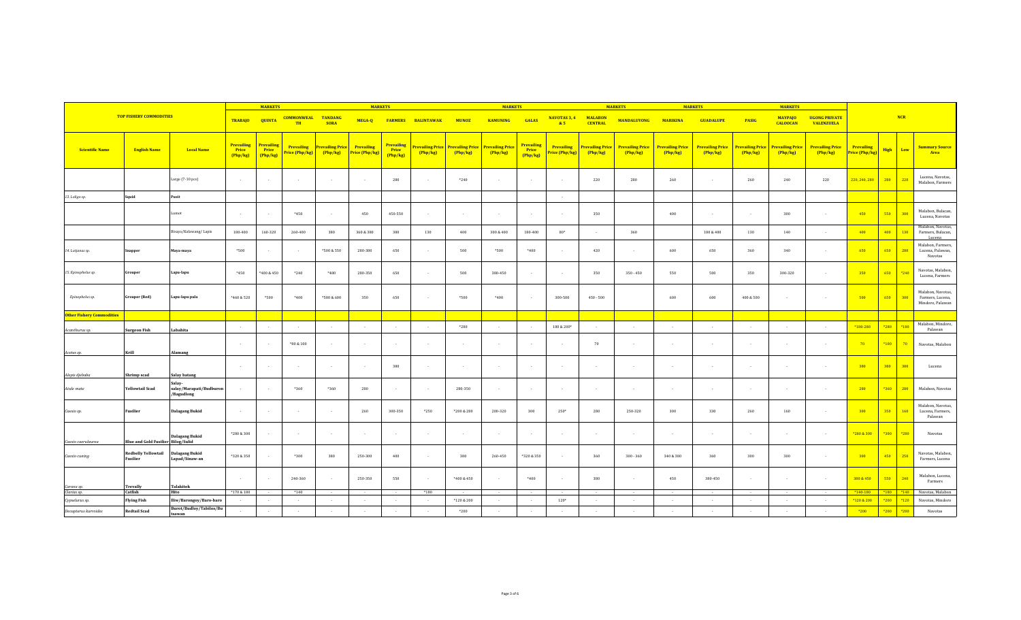|                                  | <b>MARKETS</b>                            |                                                    |                                             |                                        | <b>MARKETS</b>                      |                                     |                              |                                        | <b>MARKETS</b>                            |              |                                                          |                                      | <b>MARKETS</b>                      |                                   | <b>MARKETS</b>                    |                                   | <b>MARKETS</b>                    |                                   |                                   |                                           |                                     |               |      |                                                           |
|----------------------------------|-------------------------------------------|----------------------------------------------------|---------------------------------------------|----------------------------------------|-------------------------------------|-------------------------------------|------------------------------|----------------------------------------|-------------------------------------------|--------------|----------------------------------------------------------|--------------------------------------|-------------------------------------|-----------------------------------|-----------------------------------|-----------------------------------|-----------------------------------|-----------------------------------|-----------------------------------|-------------------------------------------|-------------------------------------|---------------|------|-----------------------------------------------------------|
|                                  | <b>TOP FISHERY COMMODITIES</b>            |                                                    | <b>TRABAJO</b>                              | <b>QUINTA</b>                          | <b>COMMONWEAL</b><br><b>TH</b>      | <b>TANDANG</b><br><b>SORA</b>       | MEGA-Q                       |                                        | <b>FARMERS BALINTAWAK</b>                 | <b>MUNOZ</b> | <b>KAMUNING</b>                                          | <b>GALAS</b>                         | NAVOTAS 3, 4<br>85                  | <b>MALABON</b><br><b>CENTRAL</b>  | MANDALUYONG                       | <b>MARIKINA</b>                   | <b>GUADALUPE</b>                  | <b>PASIG</b>                      | <b>MAYPAJO</b><br><b>CALOOCAN</b> | <b>UGONG PRIVATE</b><br><b>VALENZUELA</b> |                                     |               | NCR  |                                                           |
| <b>Scientific Name</b>           | <b>English Name</b>                       | <b>Local Name</b>                                  | <b>Prevailing</b><br><b>Price</b><br>Php/kg | <b>Prevailing</b><br>Price<br>(Php/kg) | <b>Prevailing</b><br>Price (Php/kg) | <b>Prevailing Price</b><br>(Php/kg) | Prevailing<br>Price (Php/kg) | <b>Prevailing</b><br>Price<br>(Php/kg) | Prevailing Price <mark>I</mark><br>Php/kg | Php/kg       | <mark>Prevailing Price Prevailing Price</mark><br>Php/kg | <b>Prevailing</b><br>Price<br>Php/kg | <b>Prevailing</b><br>Price (Php/kg) | <b>Prevailing Price</b><br>Php/kg | <b>Prevailing Price</b><br>Php/kg | <b>Prevailing Price</b><br>Php/kg | <b>Prevailing Price</b><br>Php/kg | <b>Prevailing Price</b><br>Php/kg | <b>Prevailing Price</b><br>Php/kg | <b>Prevailing Price</b><br>(Php/kg)       | <b>Prevailing</b><br>Price (Php/kg) | <b>High</b>   | Low  | <b>Summary Source</b><br>Area                             |
|                                  |                                           | Large (7-10 pcs)                                   |                                             |                                        |                                     | $\sim$                              | $\sim$                       | 280                                    | $\overline{\phantom{a}}$                  | $*240$       | $\epsilon$                                               | $\sim$                               |                                     | 220                               | 280                               | 260                               |                                   | 260                               | 240                               | 220                                       | 220, 240, 280                       | 280           | 220  | Lucena, Navotas,<br>Malabon, Farmers                      |
| 13. Loligo sp.                   | Squid                                     | Pusit                                              |                                             |                                        |                                     |                                     |                              |                                        |                                           |              |                                                          |                                      | $\overline{\phantom{a}}$            |                                   |                                   |                                   |                                   |                                   |                                   |                                           |                                     |               |      |                                                           |
|                                  |                                           | <b>umot</b>                                        | $\sim$                                      |                                        | $*450$                              | $\sim$                              | 450                          | 450-550                                | $\sim$                                    | $\sim$       | $\sim$                                                   | $\sim$                               | $\sim$                              | 350                               |                                   | 400                               |                                   | $\sim$                            | 300                               | $\sim$                                    | 450                                 | 550           | 300  | Malabon, Bulacan,<br>Lucena, Navotas                      |
|                                  |                                           | Bisaya/Kalawang/Lapis                              | 180-400                                     | 160-320                                | 260-400                             | 380                                 | 360 & 380                    | 380                                    | 130                                       | 400          | 300 & 400                                                | 180-400                              | $80*$                               |                                   | 360                               |                                   | $180\,8\,400$                     | 130                               | 140                               |                                           | 400                                 | 400           | 130  | Malabon, Navotas,<br>Farmers, Bulacan,<br>Lucena          |
| 14. Lutjanus sp.                 | Snapper                                   | Maya-maya                                          | *500                                        |                                        |                                     | *500 & 550                          | 280-380                      | 650                                    | $\sim$                                    | 500          | *500                                                     | $*400$                               | $\overline{\phantom{a}}$            | 420                               |                                   | 600                               | 650                               | 360                               | 340                               | $\sim$ 100 $\mu$                          | 650                                 | 650           | 280  | Malabon, Farmers,<br>Lucena, Palawan,<br>Navotas          |
| 15. Epinephelus sp.              | Grouper                                   | Lapu-lapu                                          | $*450$                                      | *400 & 450                             | $*240$                              | $*480$                              | 280-350                      | 650                                    | $\overline{\phantom{a}}$                  | 500          | 380-450                                                  | $\sim$                               | $\overline{\phantom{a}}$            | 350                               | $350 - 450$                       | 550                               | 500                               | 350                               | 300-320                           | $\sim$ 100 $\mu$                          | 350                                 | 650           | *240 | Navotas, Malabon,<br>Lucena, Farmers                      |
| Epinephelus sp.                  | <b>Grouper (Red)</b>                      | Lapu-lapu pula                                     | *460 & 520                                  | *500                                   | $*400$                              | *580 & 600                          | 350                          | 650                                    | $\sim$                                    | *500         | $*400$                                                   | $\sim$                               | 300-500                             | $450 - 500$                       |                                   | 600                               | 600                               | 400 & 500                         | $\sim$                            |                                           | 500                                 | 650           | 300  | Malabon, Navotas,<br>Farmers, Lucena,<br>Mindoro, Palawan |
| <b>Other Fishery Commodities</b> |                                           |                                                    |                                             |                                        |                                     |                                     |                              |                                        |                                           |              |                                                          |                                      |                                     |                                   |                                   |                                   |                                   |                                   |                                   |                                           |                                     |               |      |                                                           |
| Acanthurus sp.                   | <b>Surgeon Fish</b>                       | Labahita                                           |                                             |                                        |                                     |                                     |                              |                                        |                                           | *280         |                                                          |                                      | 180 & 200*                          |                                   |                                   |                                   |                                   |                                   |                                   |                                           | *180-280                            | *280          | *180 | Malabon, Mindoro,<br>Palawan                              |
| Acetes sp.                       | Krill                                     | Alamang                                            | $\sim$                                      |                                        | $*80 & 100$                         | $\sim$                              | $\sim$                       | . .                                    | $\overline{\phantom{a}}$                  | $\sim$       | $\sim$                                                   | $\sim$ 100 $\mu$                     | $\overline{\phantom{a}}$            | 70                                | $\sim$                            | $\sim$                            | $\sim$                            | $\sim$                            | $\sim$                            |                                           | 70                                  | $*100$        | 70   | Navotas, Malabon                                          |
| Alepis djebaba                   | Shrimp scad                               | <b>Salay batang</b>                                | $\sim$                                      | . п.                                   |                                     | $\sim$                              | $\sim$                       | 380                                    | $\sim$                                    | $\sim$       | $\sim$                                                   | $\sim$                               | $\sim$                              | $\sim$                            | $\sim$                            | $\overline{a}$                    | $\sim$                            | n.                                | $\overline{a}$                    | $\sim$                                    | 380                                 | 380           | 380  | Lucena                                                    |
| Atule mate                       | <b>Yellowtail Scad</b>                    | Salay-<br>salay/Marapati/Budburon<br>/Bagudlong    |                                             | - 11                                   | *360                                | *360                                | 280                          |                                        | $\sim$                                    | 280-350      | $\sim$                                                   | $\sim$                               | - 1                                 | $\sim$                            | ۰.                                | $\sim$                            |                                   | $\sim$                            | $\sim$                            |                                           | 280                                 | *360          | 280  | Malabon, Navotas                                          |
| Caesio sp.                       | <b>Fusilier</b>                           | <b>Dalagang Bukid</b>                              |                                             |                                        |                                     | $\sim$                              | 260                          | 300-350                                | *250                                      | *200 & 280   | 200-320                                                  | 300                                  | $250*$                              | 280                               | 250-320                           | 300                               | 330                               | 260                               | 160                               |                                           | 300                                 | 350           | 160  | Malabon, Navotas,<br>Lucena, Farmers,<br>Palawan          |
| Caesio caerulaurea               | <b>Blue and Gold Fusilier Bilog/Sulid</b> | Dalagang Bukid                                     | *280 & 300                                  |                                        |                                     | $\sim$                              | $\sim$                       |                                        | $\cdot$                                   | $\epsilon$   | $\sim$                                                   | $\sim$                               |                                     |                                   |                                   | $\cdot$                           |                                   | $\sim$                            |                                   |                                           | *280 & 300                          | $*300$        | *280 | Navotas                                                   |
| Caesio cuning                    | <b>Redbelly Yellowtail</b><br>Fusilier    | <b>Dalagang Bukid</b><br>Lapad/Sinaw-an            | *320 & 350                                  |                                        | *300                                | 380                                 | 250-300                      | 400                                    | $\overline{\phantom{a}}$                  | 380          | 260-450                                                  | *320 & 350                           |                                     | 360                               | $300 - 360$                       | 340 & 380                         | 360                               | 300                               | 300                               |                                           | 300                                 | 450           | 250  | Navotas, Malabon,<br>Farmers, Lucena                      |
| Caranx sp.                       | <b>Trevally</b>                           | <b>Talakitok</b>                                   | $\sim$                                      |                                        | 240-360                             | $\sim$                              | 250-350                      | 550                                    | $\sim$                                    | *400 & 450   | $\sim$                                                   | $*400$                               | $\overline{\phantom{a}}$            | 380                               | $\sim$                            | 450                               | 380-450                           | $\sim$                            | $\sim$                            | $\sim$                                    | 380 & 450                           | 550           | 240  | Malabon, Lucena,<br>Farmers                               |
| Clarias sp.                      | Catfish                                   | Hito                                               | $*170&180$                                  |                                        | $*140$                              |                                     |                              |                                        | $*180$                                    | *120 & 200   |                                                          |                                      | $120*$                              |                                   |                                   |                                   |                                   |                                   |                                   |                                           | $*140-180$                          | $*180$ $*140$ | *120 | Navotas, Malabon<br>Navotas, Mindoro                      |
| Cypselurus sp.                   | <b>Flying Fish</b>                        | Iliw/Barongoy/Baro-baro<br>Burot/Budloy/Tabilos/Bu |                                             |                                        |                                     | $\sim$                              | $\sim$                       |                                        |                                           |              | $\sim$                                                   | $\sim$                               |                                     |                                   |                                   |                                   | $\sim$                            | $\sim$                            |                                   | $\sim$                                    | *120 & 200                          | $*200$        |      |                                                           |
| Decapterus kurroides             | <b>Redtail Scad</b>                       | tsawan                                             | $\sim$                                      |                                        |                                     |                                     |                              |                                        |                                           | *200         |                                                          |                                      |                                     |                                   |                                   |                                   |                                   |                                   |                                   |                                           | $*200$                              | $*200$        | *200 | Navotas                                                   |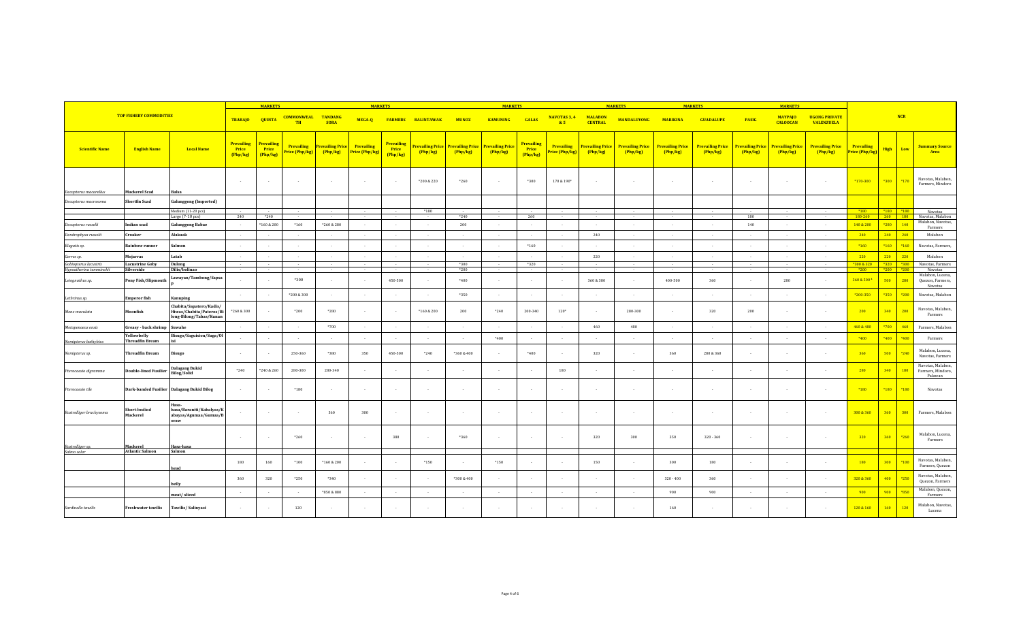|                                            |                                       |                                                                                |                                      | <b>MARKETS</b>                         |                                     |                                     | <b>MARKET</b>                       |                                      |                                  |                  | <b>MARKETS</b>                                     |                                      |                                     |                                   | <b>MARKETS</b>                    |                                   | <b>MARKETS</b>                    |                                   | <b>MARKETS</b>                    |                                           |                                     |                                                                                                                 |                  |                                                   |
|--------------------------------------------|---------------------------------------|--------------------------------------------------------------------------------|--------------------------------------|----------------------------------------|-------------------------------------|-------------------------------------|-------------------------------------|--------------------------------------|----------------------------------|------------------|----------------------------------------------------|--------------------------------------|-------------------------------------|-----------------------------------|-----------------------------------|-----------------------------------|-----------------------------------|-----------------------------------|-----------------------------------|-------------------------------------------|-------------------------------------|-----------------------------------------------------------------------------------------------------------------|------------------|---------------------------------------------------|
|                                            | <b>TOP FISHERY COMMODITIES</b>        |                                                                                | <b>TRABAJO</b>                       | <b>QUINTA</b>                          | <b>COMMONWEAL</b><br><b>TH</b>      | <b>TANDANG</b><br><b>SORA</b>       | MEGA-Q                              |                                      | <b>FARMERS BALINTAWAK</b>        | <b>MUNOZ</b>     | <b>KAMUNING</b>                                    | <b>GALAS</b>                         | NAVOTAS 3, 4<br>85                  | <b>MALABON</b><br><b>CENTRAL</b>  | <b>MANDALUYONG</b>                | <b>MARIKINA</b>                   | <b>GUADALUPE</b>                  | <b>PASIG</b>                      | <b>MAYPAJO</b><br><b>CALOOCAN</b> | <b>UGONG PRIVATE</b><br><b>VALENZUELA</b> |                                     |                                                                                                                 | NCR              |                                                   |
| <b>Scientific Name</b>                     | <b>English Name</b>                   | <b>Local Name</b>                                                              | <b>Prevailing</b><br>Price<br>Php/kg | <b>Prevailing</b><br>Price<br>(Php/kg) | <b>Prevailing</b><br>Price (Php/kg) | <b>Prevailing Price</b><br>(Php/kg) | <b>Prevailing</b><br>Price (Php/kg) | <b>Prevailing</b><br>Price<br>Php/kg | <u>revailing Price</u><br>Php/kg | Php/kg           | <b>Prevailing Price Prevailing Price</b><br>Php/kg | <b>Prevailing</b><br>Price<br>Php/kg | <b>Prevailing</b><br>Price (Php/kg) | <b>Prevailing Price</b><br>Php/kg | <b>Prevailing Price</b><br>Php/kg | <b>Prevailing Price</b><br>Php/kg | <b>Prevailing Price</b><br>Php/kg | <b>Prevailing Price</b><br>Php/kg | <b>Prevailing Price</b><br>Php/kg | <b>Prevailing Price</b><br>Php/kg         | <b>Prevailing</b><br>Price (Php/kg) | <b>High</b>                                                                                                     | Low              | <b>Summary Source</b><br>Area                     |
| Decapterus macarellus                      | Mackerel Scad                         | <b>Balsa</b>                                                                   | $\sim$                               |                                        |                                     | $\sim$                              | $\sim$                              | $\sim$                               | *200 & 220                       | $*260$           | $\sim$                                             | *300                                 | 170 & 190*                          | $\sim$                            |                                   | $\sim$                            | $\sim$                            | $\sim$                            | $\overline{a}$                    | $\sim$                                    | *170-300                            | $*300$                                                                                                          | $*170$           | Navotas, Malabon,<br>Farmers, Mindoro             |
| Decapterus macrosoma                       | hortfin Scad                          | <b>Galunggong (Imported)</b>                                                   |                                      |                                        |                                     |                                     |                                     |                                      |                                  |                  |                                                    |                                      |                                     |                                   |                                   |                                   |                                   |                                   |                                   |                                           |                                     |                                                                                                                 |                  |                                                   |
|                                            |                                       | Medium (11-20 pcs)                                                             |                                      |                                        |                                     |                                     |                                     |                                      | $*180$                           |                  |                                                    |                                      |                                     |                                   |                                   |                                   |                                   |                                   |                                   |                                           | $*180$                              | $\begin{array}{c c c} \hline \text{*180} & \text{*180} \\ \hline \text{260} & \text{180} \\ \hline \end{array}$ |                  | Navotas                                           |
| Decapterus russelli                        | Indian scad                           | Large (7-10 pcs)<br><b>Galunggong Babae</b>                                    | 240<br>$\sim$                        | $*240$<br>*160 & 200                   | $*160$                              | *260 & 280                          | $\sim$                              | $\sim$                               | $\sim$                           | $*240$<br>200    | $\sim$                                             | 260                                  | $\sim$                              | $\sim$                            | $\sim$                            | $\sim$                            | $\sim$                            | 180<br>140                        | $\sim$                            | $\sim$                                    | 180-260<br>140 & 200                | $*280$                                                                                                          | 140              | Navotas, Malabon<br>Malabon, Navotas,             |
| Dendrophysa russelii                       | Croaker                               | Alakaak                                                                        | $\sim$                               |                                        |                                     | $\sim$                              | $\sim$                              | $\sim$                               | $\sim$                           | $\sim$           | $\sim$                                             |                                      | $\sim$                              | 240                               | $\sim$                            | $\sim$                            | $\sim$                            | $\sim$                            | $\sim$                            | $\sim$                                    | 240                                 | 240                                                                                                             | $-240$           | Farmers<br>Malabon                                |
| Elagatis sp.                               | Rainbow runner                        | Salmon                                                                         | $\sim$                               |                                        |                                     |                                     | $\sim$                              |                                      | $\sim$                           |                  | $\sim$                                             | $*160$                               |                                     |                                   |                                   |                                   | $\sim$                            | $\sim$                            | $\sim$                            | $\sim$                                    | $*160$                              | $*160$                                                                                                          | $*160$           | Navotas, Farmers,                                 |
| Gerres sp.                                 | Mojarras                              | Latab                                                                          | $\sim$                               | $\sim$                                 | $\sim$                              | $\sim$ 100 $\mu$                    | $\sim$                              | $\sim$                               | $\sim$                           | $\sim$           | $\sim$                                             |                                      | $\sim$                              | 220                               | $\sim$                            | $\sim$                            | $\sim$                            | $\sim$                            | $\sim$                            | $\sim$ 100 $\mu$                          | 220                                 | 220                                                                                                             | 220              | Malabon                                           |
| Gobiopterus lacustris                      | <b>Lacustrine Goby</b><br>Silverside  | <b>Dulong</b><br>Dilis/bolinao                                                 |                                      |                                        |                                     |                                     |                                     |                                      | $\sim$                           | $*300$<br>$*200$ |                                                    | *320                                 |                                     |                                   |                                   |                                   | $\sim$                            |                                   | $\sim$                            |                                           | *300 & 320 *320<br>$*200$           | $*200$                                                                                                          | $*300$<br>$*200$ | Navotas, Farmers                                  |
| Hypoatherina temminckii<br>Leiognathus sp. | Pony Fish/Slipmouth                   | Lawayan/Tambong/Sapsa                                                          |                                      |                                        | *300                                | $\sim$                              | $\sim$                              | 450-500                              | $\overline{a}$                   | *400             | $\sim$                                             |                                      |                                     | 360 & 380                         |                                   | 400-500                           | 360                               | . .                               | 280                               | $\sim$                                    | 360 & 500 4                         | 500                                                                                                             | 280              | Navotas<br>Malabon, Lucena,<br>Quezon, Farmers,   |
| Lethrinus sp.                              | <b>Emperor fish</b>                   | <b>Kanuping</b>                                                                | $\sim$                               |                                        | *200 & 300                          | $\sim$                              | $\sim$                              |                                      | $\cdot$                          | *350             | $\sim$                                             |                                      |                                     |                                   |                                   |                                   |                                   | $\sim$                            | $\cdot$                           |                                           | *200-350                            | $*350$                                                                                                          | $*200$           | Navotas<br>Navotas, Malabon                       |
| Mene maculata                              | Moonfish                              | Chabita/Sapatero/Kadis/<br>Hiwas/Chabita/Pateros/Bi<br>long-Bilong/Tabas/Kunan | *260 & 300                           |                                        | $*200$                              | *280                                | $\sim$                              |                                      | $*160 & 200$                     | 200              | $*240$                                             | 200-340                              | $120*$                              | $\ddot{\phantom{1}}$              | 280-300                           |                                   | 320                               | 200                               | $\cdot$                           | $\sim$                                    | 200                                 | 340                                                                                                             | 200              | Navotas, Malabon,<br>Farmers                      |
| Metapenaeus ensis                          | Greasy - back shrimp                  | Suwahe                                                                         | $\sim$                               |                                        |                                     | $*700$                              | $\sim$                              | $\sim$                               | $\sim$                           | $\sim$           | $\sim$                                             |                                      |                                     | 460                               | 480                               | $\sim$                            | $\sim$                            | $\sim$                            | $\sim$                            | $\sim$                                    | 460 & 480                           | $*700$                                                                                                          | 460              | Farmers, Malabon                                  |
| Nemipterus bathybius                       | Yellowbelly<br><b>Threadfin Bream</b> | Bisugo/Saguision/Suga/Ol                                                       |                                      |                                        |                                     |                                     | $\sim$                              | $\sim$                               | $\sim$                           | $\sim$           | *400                                               |                                      |                                     |                                   |                                   |                                   | $\sim$                            | $\sim$                            | $\overline{\phantom{a}}$          | $\sim$                                    | $*400$                              | $*400$                                                                                                          | *400             | Farmers                                           |
| Nemipterus sp.                             | Threadfin Bream                       | <b>Bisugo</b>                                                                  | $\sim$                               |                                        | 250-360                             | *380                                | 350                                 | 450-500                              | $*240$                           | *360 & 400       | $\sim$                                             | $*400$                               |                                     | 320                               |                                   | 360                               | 280 & 360                         | $\sim$                            | $\sim$                            |                                           | 360                                 | 500                                                                                                             | $*240$           | Malabon, Lucena,<br>Navotas, Farmers              |
| Pterocaesio digramma                       | <b>Double-lined Fusilier</b>          | <b>Dalagang Bukid</b><br><b>Bilog/Solid</b>                                    | $*240$                               | *240 & 260                             | 280-300                             | 280-340                             | $\sim$                              | $\sim$                               | $\sim$                           | $\sim$ 100 $\mu$ | $\sim$ 100 $\mu$                                   | $\sim$                               | 180                                 | ٠.                                | $\sim$                            | $\sim$                            | $\sim$                            | $\sim$                            | $\sim$                            | $\sim$                                    | 280                                 | 340                                                                                                             | 180              | Navotas, Malabon,<br>Farmers, Mindoro,<br>Palawan |
| Pterocaesio tile                           |                                       | Dark-banded Fusilier Dalagang Bukid Bilog                                      |                                      |                                        | $*180$                              | $\sim$                              | $\sim$                              | $\sim$                               | $\sim$                           | $\sim$           | $\sim$                                             | $\sim$                               |                                     | . .                               |                                   | $\sim$                            | $\sim$                            | $\sim$                            | $\sim$                            | $\sim$                                    | $*180$                              | $*180$                                                                                                          | $*180$           | Navotas                                           |
| Rastrelliger brachysoma                    | Short-bodied<br>Mackerel              | Hasa-<br>hasa/Baraniti/Kabalyas/K<br>abayas/Agumaa/Gumaa/B<br>loraw            |                                      |                                        |                                     | 360                                 | 300                                 |                                      |                                  |                  |                                                    |                                      |                                     |                                   |                                   |                                   |                                   |                                   |                                   |                                           | 300 & 360                           | 360                                                                                                             | 300              | Farmers, Malabon                                  |
| Rastrelliger sp.                           | Mackerel                              | Hasa-hasa                                                                      | $\sim$                               |                                        | *260                                | $\sim$                              | $\sim$                              | 380                                  | $\sim$                           | *360             | $\sim$                                             | $\sim$                               |                                     | 320                               | 300                               | 350                               | $320 - 360$                       | $\sim$                            | $\sim$                            | $\sim$                                    | 320                                 | 360                                                                                                             | *260             | Malabon, Lucena,<br>Farmers                       |
| Salmo salar                                | <b>Atlantic Salmon</b>                | Salmon                                                                         |                                      |                                        |                                     |                                     |                                     |                                      |                                  |                  |                                                    |                                      |                                     |                                   |                                   |                                   |                                   |                                   |                                   |                                           |                                     |                                                                                                                 |                  |                                                   |
|                                            |                                       | head                                                                           | 180                                  | 160                                    | $*100$                              | *160 & 200                          | $\sim$                              | $\sim$                               | $*150$                           | $\sim$           | $*150$                                             |                                      |                                     | 150                               |                                   | 300                               | 180                               | $\sim$                            | $\sim$                            |                                           | 180                                 | 300                                                                                                             | *100             | Navotas, Malabon,<br>Farmers, Quezon              |
|                                            |                                       | belly                                                                          | 360                                  | 320                                    | *250                                | *340                                | $\sim$                              |                                      | $\sim$                           | *300 & 400       | $\sim$                                             |                                      |                                     |                                   |                                   | $320 - 400$                       | 360                               |                                   | $\sim$                            | $\sim$                                    | 320 & 360                           | 400                                                                                                             | *250             | Navotas, Malabon,<br>Quezon, Farmers              |
|                                            |                                       | meat/sliced                                                                    | $\sim$                               |                                        |                                     | *850 & 880                          | $\sim$                              | $\sim$                               | $\sim$                           | $\sim$           | $\sim$                                             |                                      | $\sim$                              | $\sim$                            |                                   | 900                               | 900                               | $\sim$                            | $\sim$                            | $\sim$                                    | 900                                 | 900                                                                                                             | *850             | Malabon, Quezon,<br>Farmers                       |
| Sardinella tawilis                         | <b>Freshwater tawilis</b>             | Tawilis/Salinyasi                                                              |                                      |                                        | 120                                 |                                     |                                     |                                      | $\cdot$                          |                  |                                                    |                                      |                                     |                                   |                                   | 160                               |                                   |                                   |                                   |                                           | 120 & 160                           | 160                                                                                                             | 120              | Malabon, Navotas,<br>Lucena                       |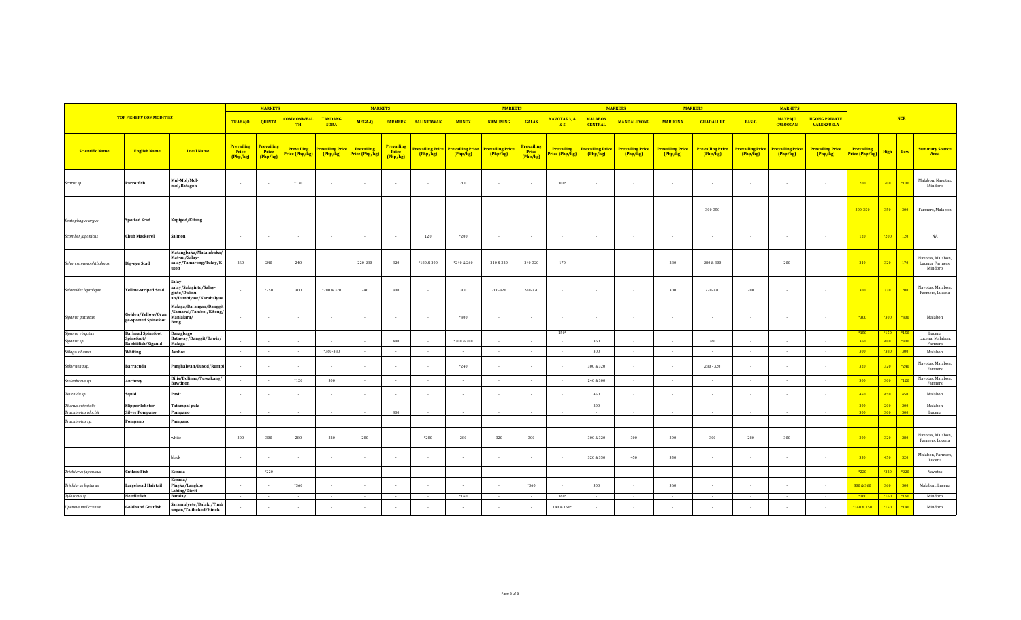|                        | <b>MARKETS</b>                             |                                                                                 |                                        |                                 | <b>MARKETS</b>                 |                                                |                                     |                                      | <b>MARKETS</b>            |                                                              |                 |                                      | <b>MARKETS</b>                      |                                   | <b>MARKETS</b>                    |                                   | <b>MARKETS</b>                    |                                   |                                   |                                           |                                     |               |        |                                                  |
|------------------------|--------------------------------------------|---------------------------------------------------------------------------------|----------------------------------------|---------------------------------|--------------------------------|------------------------------------------------|-------------------------------------|--------------------------------------|---------------------------|--------------------------------------------------------------|-----------------|--------------------------------------|-------------------------------------|-----------------------------------|-----------------------------------|-----------------------------------|-----------------------------------|-----------------------------------|-----------------------------------|-------------------------------------------|-------------------------------------|---------------|--------|--------------------------------------------------|
|                        | <b>TOP FISHERY COMMODITIES</b>             |                                                                                 | <b>TRABAJO</b>                         | <b>QUINTA</b>                   | <b>COMMONWEAL</b><br><b>TH</b> | <b>TANDANG</b><br><b>SORA</b>                  | MEGA-Q                              |                                      | <b>FARMERS BALINTAWAK</b> | <b>MUNOZ</b>                                                 | <b>KAMUNING</b> | <b>GALAS</b>                         | NAVOTAS 3, 4<br>85                  | <b>MALABON</b><br><b>CENTRAL</b>  | <b>MANDALUYONG</b>                | <b>MARIKINA</b>                   | <b>GUADALUPE</b>                  | <b>PASIG</b>                      | <b>MAYPAJO</b><br><b>CALOOCAN</b> | <b>UGONG PRIVATE</b><br><b>VALENZUELA</b> |                                     |               | NCR    |                                                  |
| <b>Scientific Name</b> | <b>English Name</b>                        | <b>Local Name</b>                                                               | <b>Prevailing</b><br>Price<br>(Php/kg) | Prevailing<br>Price<br>(Php/kg) | Price (Php/kg)                 | <b>Prevailing Prevailing Price</b><br>(Php/kg) | <b>Prevailing</b><br>Price (Php/kg) | <b>Prevailing</b><br>Price<br>Php/kg | Php/kg                    | Prevailing Price Prevailing Price Prevailing Price<br>Php/kg | Php/kg          | <b>Prevailing</b><br>Price<br>Php/kg | <b>Prevailing</b><br>Price (Php/kg) | <b>Prevailing Price</b><br>Php/kg | <b>Prevailing Price</b><br>Php/kg | <b>Prevailing Price</b><br>Php/kg | <b>Prevailing Price</b><br>Php/kg | <b>Prevailing Price</b><br>Php/kg | <b>Prevailing Price</b><br>Php/kg | <b>Prevailing Price</b><br>Php/kg         | <b>Prevailing</b><br>Price (Php/kg) | <b>High</b>   | Low    | <b>Summary Source</b><br>Area                    |
| Scarus sp.             | Parrotfish                                 | Mul-Mol/Mol-<br>mol/Batagon                                                     |                                        |                                 | $*130$                         |                                                |                                     |                                      | $\sim$                    | 200                                                          | $\sim$          |                                      | $100*$                              |                                   |                                   | $\epsilon$                        | $\sim$                            | $\sim$                            | ÷.                                |                                           | 200                                 | 200           | $*100$ | Malabon, Navotas,<br>Mindoro                     |
| Scatophagus argus      | <b>Spotted Scad</b>                        | Kapiged/Kitang                                                                  | $\sim$                                 |                                 | $\sim$                         | $\sim$                                         | $\sim$                              | $\sim$                               | $\sim$                    | $\sim$                                                       | $\sim$          | $\sim$                               | $\sim$                              | . .                               |                                   | $\sim$                            | 300-350                           | $\sim$                            | $\overline{\phantom{a}}$          |                                           | 300-350                             | 350           | 300    | Farmers, Malabon                                 |
| Scomber japonicus      | <b>Chub Mackerel</b>                       | Salmon                                                                          | $\sim$                                 |                                 | . .                            |                                                | $\sim$                              | $\sim$                               | 120                       | $*200$                                                       | $\sim$          |                                      |                                     |                                   |                                   | $\overline{a}$                    | $\sim$                            | $\sim$                            | $\overline{\phantom{a}}$          |                                           | 120                                 | *200          | 120    | NA                                               |
| Selar crumenophthalmus | <b>Big-eye Scad</b>                        | Matangbaka/Matambaka/<br>Mat-an/Salay-<br>salay/Tamarong/Tulay/K<br>utob        | 260                                    | 240                             | 240                            |                                                | 220-280                             | 320                                  | *180 & 200                | *240 & 260                                                   | 240 & 320       | 240-320                              | 170                                 |                                   |                                   | 280                               | 280 & 300                         | $\sim$                            | 200                               |                                           | 240                                 | 320           | 170    | Navotas, Malabon,<br>Lucena, Farmers,<br>Mindoro |
| Selaroides leptolepis  | <b>Yellow-striped Scad</b>                 | Salay-<br>salay/Salaginto/Salay-<br>ginto/Dalinu-<br>an/Lambiyaw/Karabalyas     |                                        | *250                            | 300                            | $*280 & 320$                                   | 240                                 | 300                                  | $\overline{\phantom{a}}$  | 300                                                          | 200-320         | 240-320                              |                                     | . .                               |                                   | 300                               | 220-330                           | 200                               | $\overline{\phantom{a}}$          |                                           | 300                                 | 330           | 200    | Navotas, Malabon,<br>Farmers, Lucena             |
| Siganus guttatus       | Golden/Yellow/Oran<br>ge-spotted Spinefoot | Malaga/Barangan/Danggit<br>'Samaral/Tambol/Kitong/<br>Manlalara/<br><b>Bong</b> |                                        |                                 | . .                            | $\sim$                                         | $\sim$                              | $\sim$                               | $\sim$                    | $*300$                                                       | $\sim$          |                                      | $\sim$                              | . .                               |                                   | $\sim$                            | $\sim$                            | $\sim$                            | $\sim$                            | $\sim$                                    | $*300$                              | *300          | $*300$ | Malabon                                          |
| iganus virgatus        | <b>Barhead Spinefoot</b><br>Spinefoot/     | Daragbago                                                                       | $\sim$                                 | $\sim$                          | $\sim$                         | $\sim$                                         | $\sim$                              |                                      | $\sim$                    |                                                              | $\sim$          |                                      | $150*$                              | $\sim$                            |                                   |                                   | $\sim$                            | $\sim$ 100 $\mu$                  | $\sim$                            |                                           | $*150$                              | $*150$ $*150$ |        | Lucena<br>Lucena, Malabon,                       |
| iganus sp.             | Rabbitfish/Siganid                         | Bataway/Danggit/Bawis/<br>Malaga                                                |                                        |                                 |                                | $\sim$                                         | $\sim$                              | 480                                  | $\sim$                    | *300 & 380                                                   | $\sim$          |                                      | $\sim$                              | 360                               |                                   | $\sim$                            | 360                               | $\sim$                            | $\sim$                            |                                           | 360                                 | 480           | *300   | Farmers                                          |
| Sillago sihama         | Whiting                                    | Asohos                                                                          | $\sim 100$                             | $\sim$                          | $\sim$                         | *360-380                                       | $\sim 10^{-1}$                      | $\sim$                               | $\sim 10$                 | $\sim 10$                                                    | $\sim 10$       | $\sim$                               | $\sim 10^{-1}$                      | 300                               | $\sim 10$                         | $\sim$ $\sim$                     | $\sim$                            | $\sim 10^{-1}$                    | $\sim 10^{-1}$                    | $\sim 10^{-1}$                            | 300                                 | *380          | 300    | Malabon                                          |
| Sphyraena sp.          | Barracuda                                  | Panghalwan/Lusod/Rumpi                                                          |                                        |                                 | $\sim$                         | $\sim$                                         | $\sim$                              | $\ddot{\phantom{1}}$                 | $\sim$                    | $*240$                                                       | $\sim$          |                                      |                                     | 300 & 320                         |                                   | $\sim$                            | 280 - 320                         | $\sim$                            | $\sim$                            | $\sim$                                    | 320                                 | 320           | $*240$ | Navotas, Malabon,<br>Farmers                     |
| Stolephorus sp.        | Anchovy                                    | Dilis/Bolinao/Tuwakang/                                                         |                                        | $\sim$                          | $*120$                         | 300                                            | $\sim$                              | $\sim$                               | $\sim$                    | $\sim$                                                       | $\sim$          | $\sim$                               | $\sim$                              | 240 & 300                         | $\sim$                            | $\sim$                            | $\sim 10^{-1}$                    | $\sim$                            | $\sim$                            | $\sim$                                    | 300                                 | 300           | $*120$ | Navotas, Malabon,                                |
| Teuthida sp.           | Squid                                      | Bawdnon<br>Pusit                                                                |                                        |                                 |                                |                                                |                                     |                                      | $\sim$                    |                                                              | $\sim$          |                                      |                                     | 450                               |                                   |                                   | $\sim$                            |                                   |                                   |                                           | 450                                 | 450           | 450    | Farmers<br>Malabon                               |
| Thenus orientalis      | Slipper lobster                            | <b>Tatampal pula</b>                                                            | $\sim$                                 | $\sim$                          | $\sim$                         | $\sim$ 10 $\sim$                               | $\sim$                              | $\sim$                               | $\sim$                    | $\sim$                                                       | $\sim$          | $\sim$                               | $\sim$                              | 200                               | $\sim$                            | $\sim$                            | $\sim$                            | $\sim$                            | $\sim$                            | $\sim$                                    | 200                                 | 200           | 200    | Malabon                                          |
| Trachinotus blochii    | <b>Silver Pompano</b>                      | Pompano                                                                         | $\sim$                                 |                                 | $\sim$                         |                                                | $\sim 10^{-1}$                      | 300                                  | $\sim$                    | $\sim$                                                       | $\sim$          | $\sim$                               |                                     |                                   |                                   | $\overline{a}$                    | $\sim$                            | $\sim$                            | $\overline{a}$                    |                                           | 300                                 | $300$ $300$   |        | Lucena                                           |
| Trachinotus sp.        | Pompano                                    | Pampano                                                                         |                                        |                                 |                                |                                                |                                     |                                      |                           |                                                              |                 |                                      |                                     |                                   |                                   |                                   |                                   |                                   |                                   |                                           |                                     |               |        |                                                  |
|                        |                                            | white                                                                           | 300                                    | 300                             | 280                            | 320                                            | 280                                 | $\sim$                               | *280                      | 280                                                          | 320             | 300                                  |                                     | 300 & 320                         | 300                               | 300                               | 300                               | 280                               | 300                               | $\sim$                                    | 300                                 | 320           | 280    | Navotas, Malabon,<br>Farmers, Lucena             |
|                        |                                            | black                                                                           | $\sim$                                 |                                 |                                | $\sim$                                         | $\sim$                              | $\sim$                               | $\sim$                    | $\sim$                                                       | $\sim$          | $\sim$                               |                                     | 320 & 350                         | 450                               | 350                               | $\sim$                            | $\sim$                            | $\sim$                            | $\sim$                                    | 350                                 | 450           | 320    | Malabon, Farmers,<br>Lucena                      |
| Trichiurus japonicus   | <b>Cutlass Fish</b>                        | Espada                                                                          | $\sim$                                 | *220                            | $\sim$                         | $\sim$                                         | $\sim$                              | $\sim$                               | $\sim$                    | $\sim$                                                       | $\sim$          |                                      | $\sim$                              | $\sim$                            | $\sim$                            | $\sim$                            | $\sim$                            | $\sim$                            | $\sim$                            | $\sim 10^{-1}$                            | $*220$                              | $*220$        | $*220$ | Navotas                                          |
| Trichiurus lepturus    | <b>Largehead Hairtail</b>                  | Espada/<br>Pingka/Langkoy<br>Lahing/Diwit                                       | - 11                                   |                                 | *360                           | $\sim$                                         | $\sim$                              | - 1                                  | $\sim$                    | $\sim$                                                       | $\sim$          | $*360$                               |                                     | 300                               |                                   | 360                               | $\sim$                            | $\sim$                            | $\sim$                            |                                           | 300 & 360                           | 360           | 300    | Malabon, Lucena                                  |
| Tylosorus sp.          | Needlefish                                 | <b>Batalay</b>                                                                  |                                        |                                 |                                |                                                |                                     |                                      |                           | $*160$                                                       |                 |                                      | $160*$                              |                                   |                                   |                                   |                                   |                                   |                                   |                                           | $*160$                              | $*160$ $*160$ |        | Mindoro                                          |
| Upeneus moliccensis    | <b>Goldband Goatfish</b>                   | Saramulyete/Balaki/Timb<br>ungan/Talikokod/Hinok                                |                                        |                                 |                                |                                                |                                     | . .                                  |                           |                                                              |                 |                                      | $140\,\&\,150^*$                    |                                   |                                   |                                   |                                   |                                   |                                   |                                           | *140 & 150                          | *150          | $*140$ | Mindoro                                          |